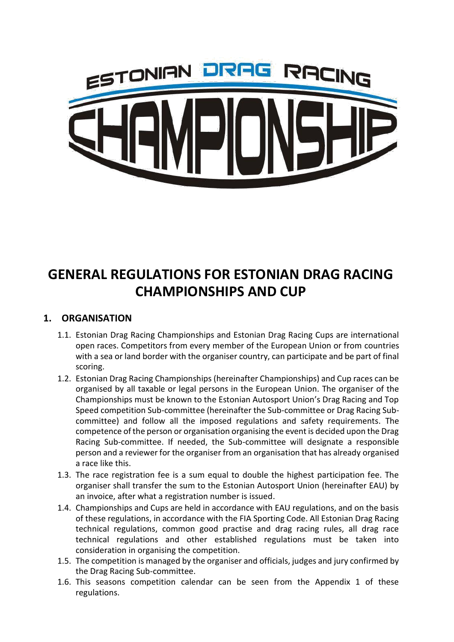

# **GENERAL REGULATIONS FOR ESTONIAN DRAG RACING CHAMPIONSHIPS AND CUP**

## **1. ORGANISATION**

- 1.1. Estonian Drag Racing Championships and Estonian Drag Racing Cups are international open races. Competitors from every member of the European Union or from countries with a sea or land border with the organiser country, can participate and be part of final scoring.
- 1.2. Estonian Drag Racing Championships (hereinafter Championships) and Cup races can be organised by all taxable or legal persons in the European Union. The organiser of the Championships must be known to the Estonian Autosport Union's Drag Racing and Top Speed competition Sub-committee (hereinafter the Sub-committee or Drag Racing Subcommittee) and follow all the imposed regulations and safety requirements. The competence of the person or organisation organising the event is decided upon the Drag Racing Sub-committee. If needed, the Sub-committee will designate a responsible person and a reviewer for the organiser from an organisation that has already organised a race like this.
- 1.3. The race registration fee is a sum equal to double the highest participation fee. The organiser shall transfer the sum to the Estonian Autosport Union (hereinafter EAU) by an invoice, after what a registration number is issued.
- 1.4. Championships and Cups are held in accordance with EAU regulations, and on the basis of these regulations, in accordance with the FIA Sporting Code. All Estonian Drag Racing technical regulations, common good practise and drag racing rules, all drag race technical regulations and other established regulations must be taken into consideration in organising the competition.
- 1.5. The competition is managed by the organiser and officials, judges and jury confirmed by the Drag Racing Sub-committee.
- 1.6. This seasons competition calendar can be seen from the Appendix 1 of these regulations.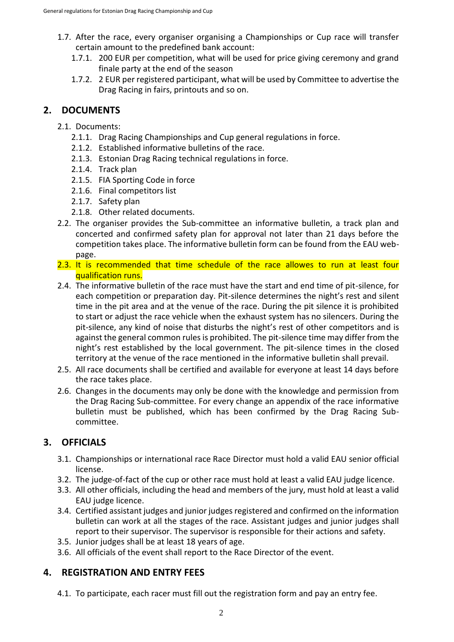- 1.7. After the race, every organiser organising a Championships or Cup race will transfer certain amount to the predefined bank account:
	- 1.7.1. 200 EUR per competition, what will be used for price giving ceremony and grand finale party at the end of the season
	- 1.7.2. 2 EUR per registered participant, what will be used by Committee to advertise the Drag Racing in fairs, printouts and so on.

## **2. DOCUMENTS**

- 2.1. Documents:
	- 2.1.1. Drag Racing Championships and Cup general regulations in force.
	- 2.1.2. Established informative bulletins of the race.
	- 2.1.3. Estonian Drag Racing technical regulations in force.
	- 2.1.4. Track plan
	- 2.1.5. FIA Sporting Code in force
	- 2.1.6. Final competitors list
	- 2.1.7. Safety plan
	- 2.1.8. Other related documents.
- 2.2. The organiser provides the Sub-committee an informative bulletin, a track plan and concerted and confirmed safety plan for approval not later than 21 days before the competition takes place. The informative bulletin form can be found from the EAU webpage.
- 2.3. It is recommended that time schedule of the race allowes to run at least four qualification runs.
- 2.4. The informative bulletin of the race must have the start and end time of pit-silence, for each competition or preparation day. Pit-silence determines the night's rest and silent time in the pit area and at the venue of the race. During the pit silence it is prohibited to start or adjust the race vehicle when the exhaust system has no silencers. During the pit-silence, any kind of noise that disturbs the night's rest of other competitors and is against the general common rules is prohibited. The pit-silence time may differ from the night's rest established by the local government. The pit-silence times in the closed territory at the venue of the race mentioned in the informative bulletin shall prevail.
- 2.5. All race documents shall be certified and available for everyone at least 14 days before the race takes place.
- 2.6. Changes in the documents may only be done with the knowledge and permission from the Drag Racing Sub-committee. For every change an appendix of the race informative bulletin must be published, which has been confirmed by the Drag Racing Subcommittee.

## **3. OFFICIALS**

- 3.1. Championships or international race Race Director must hold a valid EAU senior official license.
- 3.2. The judge-of-fact of the cup or other race must hold at least a valid EAU judge licence.
- 3.3. All other officials, including the head and members of the jury, must hold at least a valid EAU judge licence.
- 3.4. Certified assistant judges and junior judges registered and confirmed on the information bulletin can work at all the stages of the race. Assistant judges and junior judges shall report to their supervisor. The supervisor is responsible for their actions and safety.
- 3.5. Junior judges shall be at least 18 years of age.
- 3.6. All officials of the event shall report to the Race Director of the event.

## **4. REGISTRATION AND ENTRY FEES**

4.1. To participate, each racer must fill out the registration form and pay an entry fee.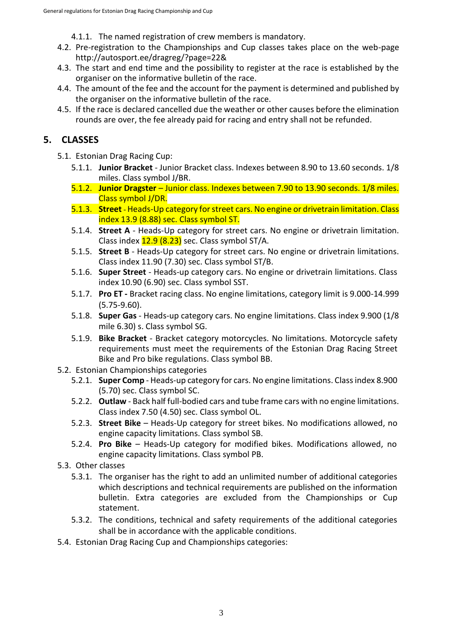4.1.1. The named registration of crew members is mandatory.

- 4.2. Pre-registration to the Championships and Cup classes takes place on the web-page <http://autosport.ee/dragreg/?page=22&>
- 4.3. The start and end time and the possibility to register at the race is established by the organiser on the informative bulletin of the race.
- 4.4. The amount of the fee and the account for the payment is determined and published by the organiser on the informative bulletin of the race.
- 4.5. If the race is declared cancelled due the weather or other causes before the elimination rounds are over, the fee already paid for racing and entry shall not be refunded.

## **5. CLASSES**

- 5.1. Estonian Drag Racing Cup:
	- 5.1.1. **Junior Bracket** Junior Bracket class. Indexes between 8.90 to 13.60 seconds. 1/8 miles. Class symbol J/BR.
	- 5.1.2. **Junior Dragster** Junior class. Indexes between 7.90 to 13.90 seconds. 1/8 miles. Class symbol J/DR.
	- 5.1.3. **Street**  Heads-Up category for street cars. No engine or drivetrain limitation. Class index 13.9 (8.88) sec. Class symbol ST.
	- 5.1.4. **Street A** Heads-Up category for street cars. No engine or drivetrain limitation. Class index  $12.9$  (8.23) sec. Class symbol ST/A.
	- 5.1.5. **Street B** Heads-Up category for street cars. No engine or drivetrain limitations. Class index 11.90 (7.30) sec. Class symbol ST/B.
	- 5.1.6. **Super Street** Heads-up category cars. No engine or drivetrain limitations. Class index 10.90 (6.90) sec. Class symbol SST.
	- 5.1.7. **Pro ET -** Bracket racing class. No engine limitations, category limit is 9.000-14.999 (5.75-9.60).
	- 5.1.8. **Super Gas** Heads-up category cars. No engine limitations. Class index 9.900 (1/8 mile 6.30) s. Class symbol SG.
	- 5.1.9. **Bike Bracket** Bracket category motorcycles. No limitations. Motorcycle safety requirements must meet the requirements of the Estonian Drag Racing Street Bike and Pro bike regulations. Class symbol BB.
- 5.2. Estonian Championships categories
	- 5.2.1. **Super Comp** Heads-up category for cars. No engine limitations. Class index 8.900 (5.70) sec. Class symbol SC.
	- 5.2.2. **Outlaw** Back half full-bodied cars and tube frame cars with no engine limitations. Class index 7.50 (4.50) sec. Class symbol OL.
	- 5.2.3. **Street Bike** Heads-Up category for street bikes. No modifications allowed, no engine capacity limitations. Class symbol SB.
	- 5.2.4. **Pro Bike**  Heads-Up category for modified bikes. Modifications allowed, no engine capacity limitations. Class symbol PB.
- 5.3. Other classes
	- 5.3.1. The organiser has the right to add an unlimited number of additional categories which descriptions and technical requirements are published on the information bulletin. Extra categories are excluded from the Championships or Cup statement.
	- 5.3.2. The conditions, technical and safety requirements of the additional categories shall be in accordance with the applicable conditions.
- 5.4. Estonian Drag Racing Cup and Championships categories: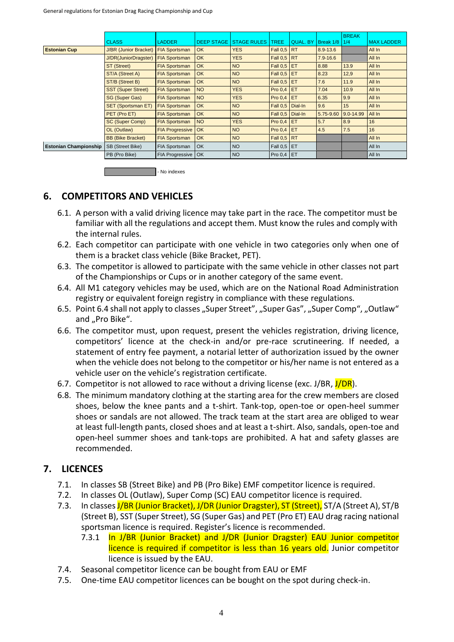|                              |                              |                        |                   |                    |                    |                 |              | <b>BREAK</b> |                   |
|------------------------------|------------------------------|------------------------|-------------------|--------------------|--------------------|-----------------|--------------|--------------|-------------------|
|                              | <b>CLASS</b>                 | <b>LADDER</b>          | <b>DEEP STAGE</b> | <b>STAGE RULES</b> | <b>TREE</b>        | <b>QUAL, BY</b> | Break 1/8    | 1/4          | <b>MAX LADDER</b> |
| <b>Estonian Cup</b>          | <b>J/BR</b> (Junior Bracket) | <b>FIA Sportsman</b>   | <b>OK</b>         | <b>YES</b>         | <b>Fall 0.5 RT</b> |                 | $8.9 - 13.6$ |              | All In            |
|                              | J/DR(JuniorDragster)         | <b>FIA Sportsman</b>   | <b>OK</b>         | <b>YES</b>         | Fall $0,5$ RT      |                 | $7.9 - 16.6$ |              | All In            |
|                              | ST (Street)                  | <b>FIA Sportsman</b>   | OK                | <b>NO</b>          | Fall $0.5$ ET      |                 | 8.88         | 13.9         | All In            |
|                              | ST/A (Street A)              | <b>FIA Sportsman</b>   | <b>OK</b>         | <b>NO</b>          | <b>Fall 0,5 ET</b> |                 | 8.23         | 12,9         | All In            |
|                              | ST/B (Street B)              | <b>FIA Sportsman</b>   | OK                | <b>NO</b>          | <b>Fall 0,5 ET</b> |                 | 7.6          | 11.9         | All In            |
|                              | <b>SST (Super Street)</b>    | <b>FIA Sportsman</b>   | <b>NO</b>         | <b>YES</b>         | Pro 0,4            | <b>ET</b>       | 7.04         | 10.9         | All In            |
|                              | <b>SG (Super Gas)</b>        | <b>FIA Sportsman</b>   | <b>NO</b>         | <b>YES</b>         | Pro $0,4$          | ET              | 6.35         | 9.9          | All In            |
|                              | <b>SET (Sportsman ET)</b>    | <b>FIA Sportsman</b>   | OK                | <b>NO</b>          | Fall 0.5 Dial-In   |                 | 9.6          | 15           | All In            |
|                              | PET (Pro ET)                 | <b>FIA Sportsman</b>   | <b>OK</b>         | <b>NO</b>          | Fall 0.5   Dial-In |                 | 5.75-9.60    | 9.0-14.99    | All In            |
|                              | SC (Super Comp)              | <b>FIA Sportsman</b>   | <b>NO</b>         | <b>YES</b>         | Pro 0,4            | <b>ET</b>       | 5.7          | 8.9          | 16                |
|                              | OL (Outlaw)                  | <b>FIA Progressive</b> | OK                | <b>NO</b>          | Pro $0,4$          | <b>IET</b>      | 4.5          | 7.5          | 16                |
|                              | <b>BB (Bike Bracket)</b>     | <b>FIA Sportsman</b>   | OK                | <b>NO</b>          | <b>Fall 0.5 RT</b> |                 |              |              | All In            |
| <b>Estonian Championship</b> | <b>SB (Street Bike)</b>      | FIA Sportsman          | <b>OK</b>         | <b>NO</b>          | Fall 0,5 ET        |                 |              |              | All In            |
|                              | PB (Pro Bike)                | FIA Progressive   OK   |                   | <b>NO</b>          | Pro $0,4$ ET       |                 |              |              | All In            |

| I - No indexes |
|----------------|
|                |

#### **6. COMPETITORS AND VEHICLES**

- 6.1. A person with a valid driving licence may take part in the race. The competitor must be familiar with all the regulations and accept them. Must know the rules and comply with the internal rules.
- 6.2. Each competitor can participate with one vehicle in two categories only when one of them is a bracket class vehicle (Bike Bracket, PET).
- 6.3. The competitor is allowed to participate with the same vehicle in other classes not part of the Championships or Cups or in another category of the same event.
- 6.4. All M1 category vehicles may be used, which are on the National Road Administration registry or equivalent foreign registry in compliance with these regulations.
- 6.5. Point 6.4 shall not apply to classes "Super Street", "Super Gas", "Super Comp", "Outlaw" and "Pro Bike".
- 6.6. The competitor must, upon request, present the vehicles registration, driving licence, competitors' licence at the check-in and/or pre-race scrutineering. If needed, a statement of entry fee payment, a notarial letter of authorization issued by the owner when the vehicle does not belong to the competitor or his/her name is not entered as a vehicle user on the vehicle's registration certificate.
- 6.7. Competitor is not allowed to race without a driving license (exc. J/BR,  $J/DR$ ).
- 6.8. The minimum mandatory clothing at the starting area for the crew members are closed shoes, below the knee pants and a t-shirt. Tank-top, open-toe or open-heel summer shoes or sandals are not allowed. The track team at the start area are obliged to wear at least full-length pants, closed shoes and at least a t-shirt. Also, sandals, open-toe and open-heel summer shoes and tank-tops are prohibited. A hat and safety glasses are recommended.

#### **7. LICENCES**

- 7.1. In classes SB (Street Bike) and PB (Pro Bike) EMF competitor licence is required.
- 7.2. In classes OL (Outlaw), Super Comp (SC) EAU competitor licence is required.
- 7.3. In classes J/BR (Junior Bracket), J/DR (Junior Dragster), ST (Street), ST/A (Street A), ST/B (Street B), SST (Super Street), SG (Super Gas) and PET (Pro ET) EAU drag racing national sportsman licence is required. Register's licence is recommended.
	- 7.3.1 In J/BR (Junior Bracket) and J/DR (Junior Dragster) EAU Junior competitor licence is required if competitor is less than 16 years old. Junior competitor licence is issued by the EAU.
- 7.4. Seasonal competitor licence can be bought from EAU or EMF
- 7.5. One-time EAU competitor licences can be bought on the spot during check-in.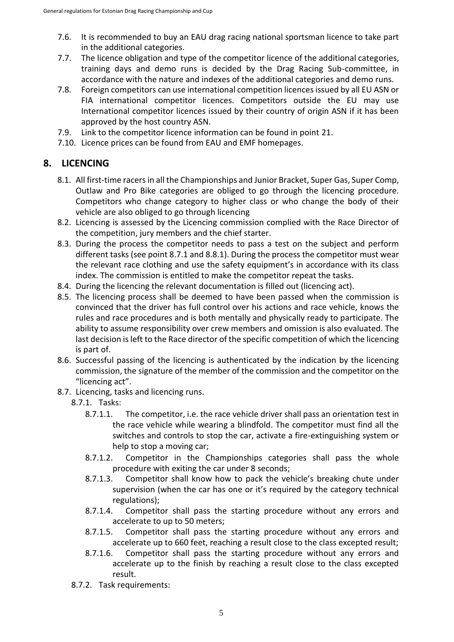- 7.6. It is recommended to buy an EAU drag racing national sportsman licence to take part in the additional categories.
- 7.7. The licence obligation and type of the competitor licence of the additional categories, training days and demo runs is decided by the Drag Racing Sub-committee, in accordance with the nature and indexes of the additional categories and demo runs.
- 7.8. Foreign competitors can use international competition licences issued by all EU ASN or FIA international competitor licences. Competitors outside the EU may use International competitor licences issued by their country of origin ASN if it has been approved by the host country ASN.
- 7.9. Link to the competitor licence information can be found in point 21.
- 7.10. Licence prices can be found from EAU and EMF homepages.

#### **8. LICENCING**

- 8.1. All first-time racers in all the Championships and Junior Bracket, Super Gas, Super Comp, Outlaw and Pro Bike categories are obliged to go through the licencing procedure. Competitors who change category to higher class or who change the body of their vehicle are also obliged to go through licencing
- 8.2. Licencing is assessed by the Licencing commission complied with the Race Director of the competition, jury members and the chief starter.
- 8.3. During the process the competitor needs to pass a test on the subject and perform different tasks (see point 8.7.1 and 8.8.1). During the process the competitor must wear the relevant race clothing and use the safety equipment's in accordance with its class index. The commission is entitled to make the competitor repeat the tasks.
- 8.4. During the licencing the relevant documentation is filled out (licencing act).
- 8.5. The licencing process shall be deemed to have been passed when the commission is convinced that the driver has full control over his actions and race vehicle, knows the rules and race procedures and is both mentally and physically ready to participate. The ability to assume responsibility over crew members and omission is also evaluated. The last decision is left to the Race director of the specific competition of which the licencing is part of.
- 8.6. Successful passing of the licencing is authenticated by the indication by the licencing commission, the signature of the member of the commission and the competitor on the "licencing act".
- 8.7. Licencing, tasks and licencing runs.
	- 8.7.1. Tasks:
		- 8.7.1.1. The competitor, i.e. the race vehicle driver shall pass an orientation test in the race vehicle while wearing a blindfold. The competitor must find all the switches and controls to stop the car, activate a fire-extinguishing system or help to stop a moving car;
		- 8.7.1.2. Competitor in the Championships categories shall pass the whole procedure with exiting the car under 8 seconds;
		- 8.7.1.3. Competitor shall know how to pack the vehicle's breaking chute under supervision (when the car has one or it's required by the category technical regulations);
		- 8.7.1.4. Competitor shall pass the starting procedure without any errors and accelerate to up to 50 meters;
		- 8.7.1.5. Competitor shall pass the starting procedure without any errors and accelerate up to 660 feet, reaching a result close to the class excepted result;
		- 8.7.1.6. Competitor shall pass the starting procedure without any errors and accelerate up to the finish by reaching a result close to the class excepted result.
	- 8.7.2. Task requirements: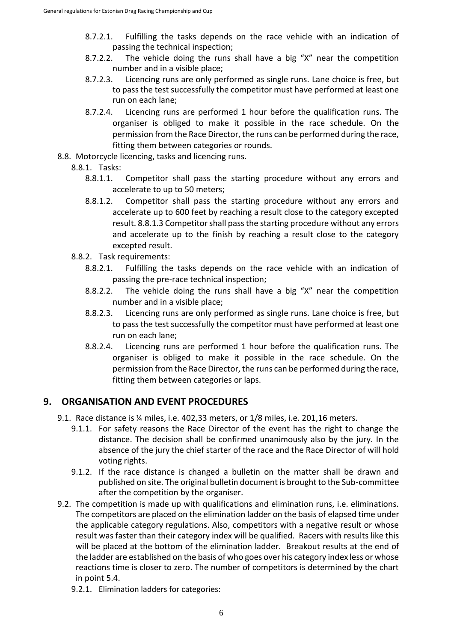- 8.7.2.1. Fulfilling the tasks depends on the race vehicle with an indication of passing the technical inspection;
- 8.7.2.2. The vehicle doing the runs shall have a big "X" near the competition number and in a visible place;
- 8.7.2.3. Licencing runs are only performed as single runs. Lane choice is free, but to pass the test successfully the competitor must have performed at least one run on each lane;
- 8.7.2.4. Licencing runs are performed 1 hour before the qualification runs. The organiser is obliged to make it possible in the race schedule. On the permission from the Race Director, the runs can be performed during the race, fitting them between categories or rounds.
- 8.8. Motorcycle licencing, tasks and licencing runs.
	- 8.8.1. Tasks:
		- 8.8.1.1. Competitor shall pass the starting procedure without any errors and accelerate to up to 50 meters;
		- 8.8.1.2. Competitor shall pass the starting procedure without any errors and accelerate up to 600 feet by reaching a result close to the category excepted result. 8.8.1.3 Competitor shall pass the starting procedure without any errors and accelerate up to the finish by reaching a result close to the category excepted result.
	- 8.8.2. Task requirements:
		- 8.8.2.1. Fulfilling the tasks depends on the race vehicle with an indication of passing the pre-race technical inspection;
		- 8.8.2.2. The vehicle doing the runs shall have a big "X" near the competition number and in a visible place;
		- 8.8.2.3. Licencing runs are only performed as single runs. Lane choice is free, but to pass the test successfully the competitor must have performed at least one run on each lane;
		- 8.8.2.4. Licencing runs are performed 1 hour before the qualification runs. The organiser is obliged to make it possible in the race schedule. On the permission from the Race Director, the runs can be performed during the race, fitting them between categories or laps.

### **9. ORGANISATION AND EVENT PROCEDURES**

- 9.1. Race distance is ¼ miles, i.e. 402,33 meters, or 1/8 miles, i.e. 201,16 meters.
	- 9.1.1. For safety reasons the Race Director of the event has the right to change the distance. The decision shall be confirmed unanimously also by the jury. In the absence of the jury the chief starter of the race and the Race Director of will hold voting rights.
	- 9.1.2. If the race distance is changed a bulletin on the matter shall be drawn and published on site. The original bulletin document is brought to the Sub-committee after the competition by the organiser.
- 9.2. The competition is made up with qualifications and elimination runs, i.e. eliminations. The competitors are placed on the elimination ladder on the basis of elapsed time under the applicable category regulations. Also, competitors with a negative result or whose result was faster than their category index will be qualified. Racers with results like this will be placed at the bottom of the elimination ladder. Breakout results at the end of the ladder are established on the basis of who goes over his category index less or whose reactions time is closer to zero. The number of competitors is determined by the chart in point 5.4.
	- 9.2.1. Elimination ladders for categories: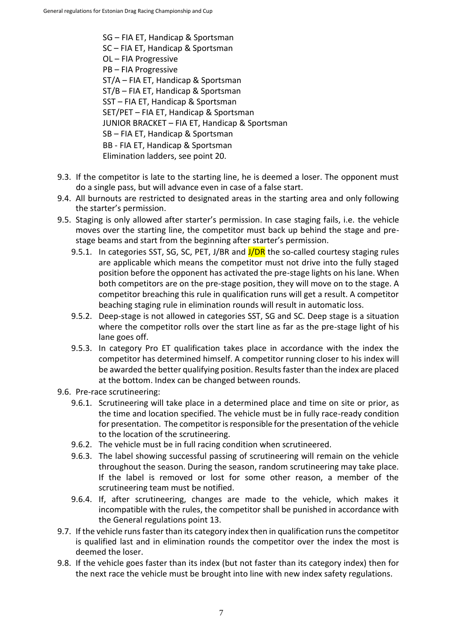SG – FIA ET, Handicap & Sportsman SC – FIA ET, Handicap & Sportsman OL – FIA Progressive PB – FIA Progressive ST/A – FIA ET, Handicap & Sportsman ST/B – FIA ET, Handicap & Sportsman SST – FIA ET, Handicap & Sportsman SET/PET – FIA ET, Handicap & Sportsman JUNIOR BRACKET – FIA ET, Handicap & Sportsman SB – FIA ET, Handicap & Sportsman BB - FIA ET, Handicap & Sportsman Elimination ladders, see point 20.

- 9.3. If the competitor is late to the starting line, he is deemed a loser. The opponent must do a single pass, but will advance even in case of a false start.
- 9.4. All burnouts are restricted to designated areas in the starting area and only following the starter's permission.
- 9.5. Staging is only allowed after starter's permission. In case staging fails, i.e. the vehicle moves over the starting line, the competitor must back up behind the stage and prestage beams and start from the beginning after starter's permission.
	- 9.5.1. In categories SST, SG, SC, PET, J/BR and  $J/DR$  the so-called courtesy staging rules are applicable which means the competitor must not drive into the fully staged position before the opponent has activated the pre-stage lights on his lane. When both competitors are on the pre-stage position, they will move on to the stage. A competitor breaching this rule in qualification runs will get a result. A competitor beaching staging rule in elimination rounds will result in automatic loss.
	- 9.5.2. Deep-stage is not allowed in categories SST, SG and SC. Deep stage is a situation where the competitor rolls over the start line as far as the pre-stage light of his lane goes off.
	- 9.5.3. In category Pro ET qualification takes place in accordance with the index the competitor has determined himself. A competitor running closer to his index will be awarded the better qualifying position. Results faster than the index are placed at the bottom. Index can be changed between rounds.
- 9.6. Pre-race scrutineering:
	- 9.6.1. Scrutineering will take place in a determined place and time on site or prior, as the time and location specified. The vehicle must be in fully race-ready condition for presentation. The competitor is responsible for the presentation of the vehicle to the location of the scrutineering.
	- 9.6.2. The vehicle must be in full racing condition when scrutineered.
	- 9.6.3. The label showing successful passing of scrutineering will remain on the vehicle throughout the season. During the season, random scrutineering may take place. If the label is removed or lost for some other reason, a member of the scrutineering team must be notified.
	- 9.6.4. If, after scrutineering, changes are made to the vehicle, which makes it incompatible with the rules, the competitor shall be punished in accordance with the General regulations point 13.
- 9.7. If the vehicle runs faster than its category index then in qualification runs the competitor is qualified last and in elimination rounds the competitor over the index the most is deemed the loser.
- 9.8. If the vehicle goes faster than its index (but not faster than its category index) then for the next race the vehicle must be brought into line with new index safety regulations.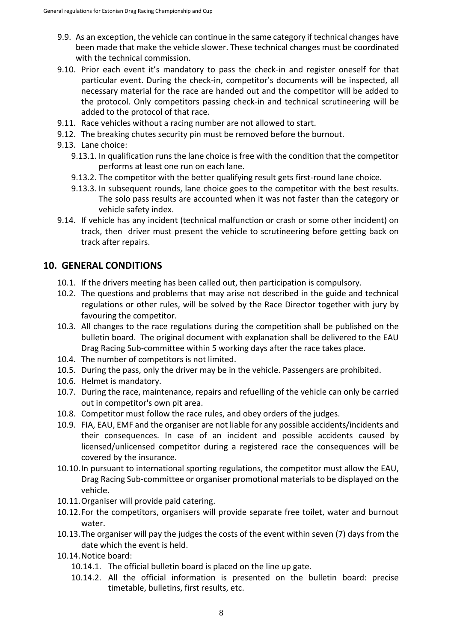- 9.9. As an exception, the vehicle can continue in the same category if technical changes have been made that make the vehicle slower. These technical changes must be coordinated with the technical commission.
- 9.10. Prior each event it's mandatory to pass the check-in and register oneself for that particular event. During the check-in, competitor's documents will be inspected, all necessary material for the race are handed out and the competitor will be added to the protocol. Only competitors passing check-in and technical scrutineering will be added to the protocol of that race.
- 9.11. Race vehicles without a racing number are not allowed to start.
- 9.12. The breaking chutes security pin must be removed before the burnout.
- 9.13. Lane choice:
	- 9.13.1. In qualification runs the lane choice is free with the condition that the competitor performs at least one run on each lane.
	- 9.13.2. The competitor with the better qualifying result gets first-round lane choice.
	- 9.13.3. In subsequent rounds, lane choice goes to the competitor with the best results. The solo pass results are accounted when it was not faster than the category or vehicle safety index.
- 9.14. If vehicle has any incident (technical malfunction or crash or some other incident) on track, then driver must present the vehicle to scrutineering before getting back on track after repairs.

#### **10. GENERAL CONDITIONS**

- 10.1. If the drivers meeting has been called out, then participation is compulsory.
- 10.2. The questions and problems that may arise not described in the guide and technical regulations or other rules, will be solved by the Race Director together with jury by favouring the competitor.
- 10.3. All changes to the race regulations during the competition shall be published on the bulletin board. The original document with explanation shall be delivered to the EAU Drag Racing Sub-committee within 5 working days after the race takes place.
- 10.4. The number of competitors is not limited.
- 10.5. During the pass, only the driver may be in the vehicle. Passengers are prohibited.
- 10.6. Helmet is mandatory.
- 10.7. During the race, maintenance, repairs and refuelling of the vehicle can only be carried out in competitor's own pit area.
- 10.8. Competitor must follow the race rules, and obey orders of the judges.
- 10.9. FIA, EAU, EMF and the organiser are not liable for any possible accidents/incidents and their consequences. In case of an incident and possible accidents caused by licensed/unlicensed competitor during a registered race the consequences will be covered by the insurance.
- 10.10.In pursuant to international sporting regulations, the competitor must allow the EAU, Drag Racing Sub-committee or organiser promotional materials to be displayed on the vehicle.
- 10.11.Organiser will provide paid catering.
- 10.12.For the competitors, organisers will provide separate free toilet, water and burnout water.
- 10.13.The organiser will pay the judges the costs of the event within seven (7) days from the date which the event is held.
- 10.14.Notice board:
	- 10.14.1. The official bulletin board is placed on the line up gate.
	- 10.14.2. All the official information is presented on the bulletin board: precise timetable, bulletins, first results, etc.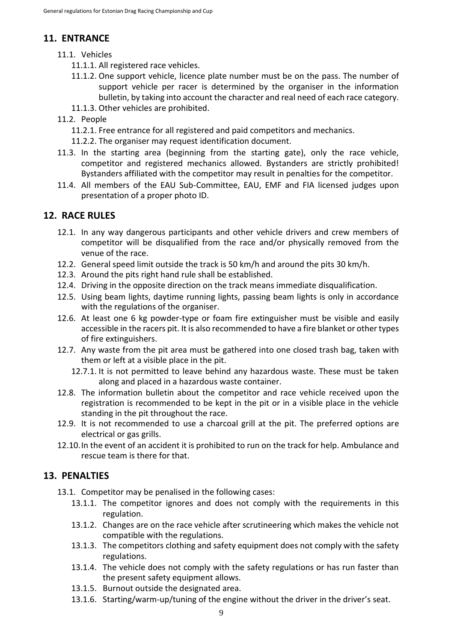# **11. ENTRANCE**

- 11.1. Vehicles
	- 11.1.1. All registered race vehicles.
	- 11.1.2. One support vehicle, licence plate number must be on the pass. The number of support vehicle per racer is determined by the organiser in the information bulletin, by taking into account the character and real need of each race category.
	- 11.1.3. Other vehicles are prohibited.
- 11.2. People
	- 11.2.1. Free entrance for all registered and paid competitors and mechanics.
	- 11.2.2. The organiser may request identification document.
- 11.3. In the starting area (beginning from the starting gate), only the race vehicle, competitor and registered mechanics allowed. Bystanders are strictly prohibited! Bystanders affiliated with the competitor may result in penalties for the competitor.
- 11.4. All members of the EAU Sub-Committee, EAU, EMF and FIA licensed judges upon presentation of a proper photo ID.

## **12. RACE RULES**

- 12.1. In any way dangerous participants and other vehicle drivers and crew members of competitor will be disqualified from the race and/or physically removed from the venue of the race.
- 12.2. General speed limit outside the track is 50 km/h and around the pits 30 km/h.
- 12.3. Around the pits right hand rule shall be established.
- 12.4. Driving in the opposite direction on the track means immediate disqualification.
- 12.5. Using beam lights, daytime running lights, passing beam lights is only in accordance with the regulations of the organiser.
- 12.6. At least one 6 kg powder-type or foam fire extinguisher must be visible and easily accessible in the racers pit. It is also recommended to have a fire blanket or other types of fire extinguishers.
- 12.7. Any waste from the pit area must be gathered into one closed trash bag, taken with them or left at a visible place in the pit.
	- 12.7.1. It is not permitted to leave behind any hazardous waste. These must be taken along and placed in a hazardous waste container.
- 12.8. The information bulletin about the competitor and race vehicle received upon the registration is recommended to be kept in the pit or in a visible place in the vehicle standing in the pit throughout the race.
- 12.9. It is not recommended to use a charcoal grill at the pit. The preferred options are electrical or gas grills.
- 12.10.In the event of an accident it is prohibited to run on the track for help. Ambulance and rescue team is there for that.

### **13. PENALTIES**

- 13.1. Competitor may be penalised in the following cases:
	- 13.1.1. The competitor ignores and does not comply with the requirements in this regulation.
	- 13.1.2. Changes are on the race vehicle after scrutineering which makes the vehicle not compatible with the regulations.
	- 13.1.3. The competitors clothing and safety equipment does not comply with the safety regulations.
	- 13.1.4. The vehicle does not comply with the safety regulations or has run faster than the present safety equipment allows.
	- 13.1.5. Burnout outside the designated area.
	- 13.1.6. Starting/warm-up/tuning of the engine without the driver in the driver's seat.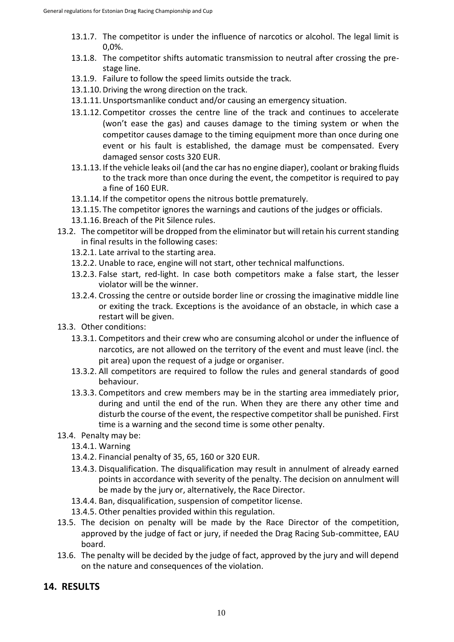- 13.1.7. The competitor is under the influence of narcotics or alcohol. The legal limit is 0,0%.
- 13.1.8. The competitor shifts automatic transmission to neutral after crossing the prestage line.
- 13.1.9. Failure to follow the speed limits outside the track.
- 13.1.10. Driving the wrong direction on the track.
- 13.1.11.Unsportsmanlike conduct and/or causing an emergency situation.
- 13.1.12. Competitor crosses the centre line of the track and continues to accelerate (won't ease the gas) and causes damage to the timing system or when the competitor causes damage to the timing equipment more than once during one event or his fault is established, the damage must be compensated. Every damaged sensor costs 320 EUR.
- 13.1.13. If the vehicle leaks oil (and the car has no engine diaper), coolant or braking fluids to the track more than once during the event, the competitor is required to pay a fine of 160 EUR.
- 13.1.14. If the competitor opens the nitrous bottle prematurely.
- 13.1.15. The competitor ignores the warnings and cautions of the judges or officials.
- 13.1.16. Breach of the Pit Silence rules.
- 13.2. The competitor will be dropped from the eliminator but will retain his current standing in final results in the following cases:
	- 13.2.1. Late arrival to the starting area.
	- 13.2.2. Unable to race, engine will not start, other technical malfunctions.
	- 13.2.3. False start, red-light. In case both competitors make a false start, the lesser violator will be the winner.
	- 13.2.4. Crossing the centre or outside border line or crossing the imaginative middle line or exiting the track. Exceptions is the avoidance of an obstacle, in which case a restart will be given.
- 13.3. Other conditions:
	- 13.3.1. Competitors and their crew who are consuming alcohol or under the influence of narcotics, are not allowed on the territory of the event and must leave (incl. the pit area) upon the request of a judge or organiser.
	- 13.3.2. All competitors are required to follow the rules and general standards of good behaviour.
	- 13.3.3. Competitors and crew members may be in the starting area immediately prior, during and until the end of the run. When they are there any other time and disturb the course of the event, the respective competitor shall be punished. First time is a warning and the second time is some other penalty.
- 13.4. Penalty may be:
	- 13.4.1. Warning
	- 13.4.2. Financial penalty of 35, 65, 160 or 320 EUR.
	- 13.4.3. Disqualification. The disqualification may result in annulment of already earned points in accordance with severity of the penalty. The decision on annulment will be made by the jury or, alternatively, the Race Director.
	- 13.4.4. Ban, disqualification, suspension of competitor license.
	- 13.4.5. Other penalties provided within this regulation.
- 13.5. The decision on penalty will be made by the Race Director of the competition, approved by the judge of fact or jury, if needed the Drag Racing Sub-committee, EAU board.
- 13.6. The penalty will be decided by the judge of fact, approved by the jury and will depend on the nature and consequences of the violation.

### **14. RESULTS**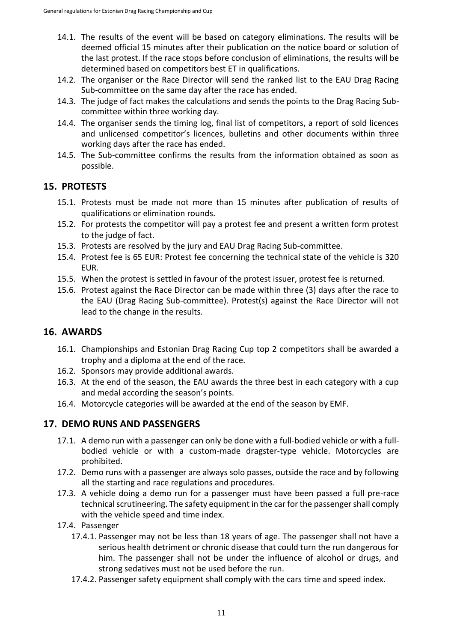- 14.1. The results of the event will be based on category eliminations. The results will be deemed official 15 minutes after their publication on the notice board or solution of the last protest. If the race stops before conclusion of eliminations, the results will be determined based on competitors best ET in qualifications.
- 14.2. The organiser or the Race Director will send the ranked list to the EAU Drag Racing Sub-committee on the same day after the race has ended.
- 14.3. The judge of fact makes the calculations and sends the points to the Drag Racing Subcommittee within three working day.
- 14.4. The organiser sends the timing log, final list of competitors, a report of sold licences and unlicensed competitor's licences, bulletins and other documents within three working days after the race has ended.
- 14.5. The Sub-committee confirms the results from the information obtained as soon as possible.

#### **15. PROTESTS**

- 15.1. Protests must be made not more than 15 minutes after publication of results of qualifications or elimination rounds.
- 15.2. For protests the competitor will pay a protest fee and present a written form protest to the judge of fact.
- 15.3. Protests are resolved by the jury and EAU Drag Racing Sub-committee.
- 15.4. Protest fee is 65 EUR: Protest fee concerning the technical state of the vehicle is 320 EUR.
- 15.5. When the protest is settled in favour of the protest issuer, protest fee is returned.
- 15.6. Protest against the Race Director can be made within three (3) days after the race to the EAU (Drag Racing Sub-committee). Protest(s) against the Race Director will not lead to the change in the results.

#### **16. AWARDS**

- 16.1. Championships and Estonian Drag Racing Cup top 2 competitors shall be awarded a trophy and a diploma at the end of the race.
- 16.2. Sponsors may provide additional awards.
- 16.3. At the end of the season, the EAU awards the three best in each category with a cup and medal according the season's points.
- 16.4. Motorcycle categories will be awarded at the end of the season by EMF.

#### **17. DEMO RUNS AND PASSENGERS**

- 17.1. A demo run with a passenger can only be done with a full-bodied vehicle or with a fullbodied vehicle or with a custom-made dragster-type vehicle. Motorcycles are prohibited.
- 17.2. Demo runs with a passenger are always solo passes, outside the race and by following all the starting and race regulations and procedures.
- 17.3. A vehicle doing a demo run for a passenger must have been passed a full pre-race technical scrutineering. The safety equipment in the car for the passenger shall comply with the vehicle speed and time index.
- 17.4. Passenger
	- 17.4.1. Passenger may not be less than 18 years of age. The passenger shall not have a serious health detriment or chronic disease that could turn the run dangerous for him. The passenger shall not be under the influence of alcohol or drugs, and strong sedatives must not be used before the run.
	- 17.4.2. Passenger safety equipment shall comply with the cars time and speed index.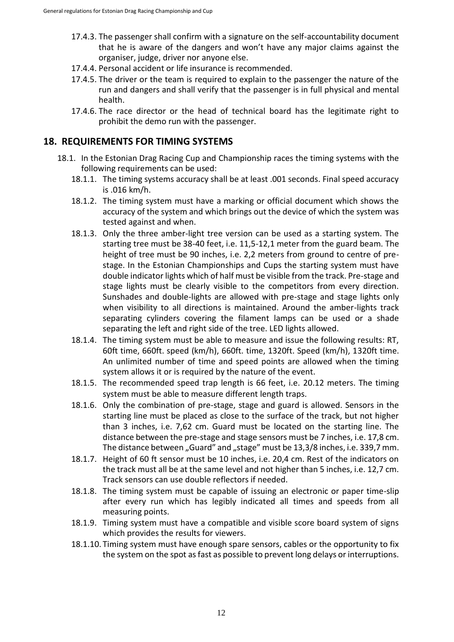- 17.4.3. The passenger shall confirm with a signature on the self-accountability document that he is aware of the dangers and won't have any major claims against the organiser, judge, driver nor anyone else.
- 17.4.4. Personal accident or life insurance is recommended.
- 17.4.5. The driver or the team is required to explain to the passenger the nature of the run and dangers and shall verify that the passenger is in full physical and mental health.
- 17.4.6. The race director or the head of technical board has the legitimate right to prohibit the demo run with the passenger.

#### **18. REQUIREMENTS FOR TIMING SYSTEMS**

- 18.1. In the Estonian Drag Racing Cup and Championship races the timing systems with the following requirements can be used:
	- 18.1.1. The timing systems accuracy shall be at least .001 seconds. Final speed accuracy is .016 km/h.
	- 18.1.2. The timing system must have a marking or official document which shows the accuracy of the system and which brings out the device of which the system was tested against and when.
	- 18.1.3. Only the three amber-light tree version can be used as a starting system. The starting tree must be 38-40 feet, i.e. 11,5-12,1 meter from the guard beam. The height of tree must be 90 inches, i.e. 2,2 meters from ground to centre of prestage. In the Estonian Championships and Cups the starting system must have double indicator lights which of half must be visible from the track. Pre-stage and stage lights must be clearly visible to the competitors from every direction. Sunshades and double-lights are allowed with pre-stage and stage lights only when visibility to all directions is maintained. Around the amber-lights track separating cylinders covering the filament lamps can be used or a shade separating the left and right side of the tree. LED lights allowed.
	- 18.1.4. The timing system must be able to measure and issue the following results: RT, 60ft time, 660ft. speed (km/h), 660ft. time, 1320ft. Speed (km/h), 1320ft time. An unlimited number of time and speed points are allowed when the timing system allows it or is required by the nature of the event.
	- 18.1.5. The recommended speed trap length is 66 feet, i.e. 20.12 meters. The timing system must be able to measure different length traps.
	- 18.1.6. Only the combination of pre-stage, stage and guard is allowed. Sensors in the starting line must be placed as close to the surface of the track, but not higher than 3 inches, i.e. 7,62 cm. Guard must be located on the starting line. The distance between the pre-stage and stage sensors must be 7 inches, i.e. 17,8 cm. The distance between "Guard" and "stage" must be 13,3/8 inches, i.e. 339,7 mm.
	- 18.1.7. Height of 60 ft sensor must be 10 inches, i.e. 20,4 cm. Rest of the indicators on the track must all be at the same level and not higher than 5 inches, i.e. 12,7 cm. Track sensors can use double reflectors if needed.
	- 18.1.8. The timing system must be capable of issuing an electronic or paper time-slip after every run which has legibly indicated all times and speeds from all measuring points.
	- 18.1.9. Timing system must have a compatible and visible score board system of signs which provides the results for viewers.
	- 18.1.10. Timing system must have enough spare sensors, cables or the opportunity to fix the system on the spot as fast as possible to prevent long delays or interruptions.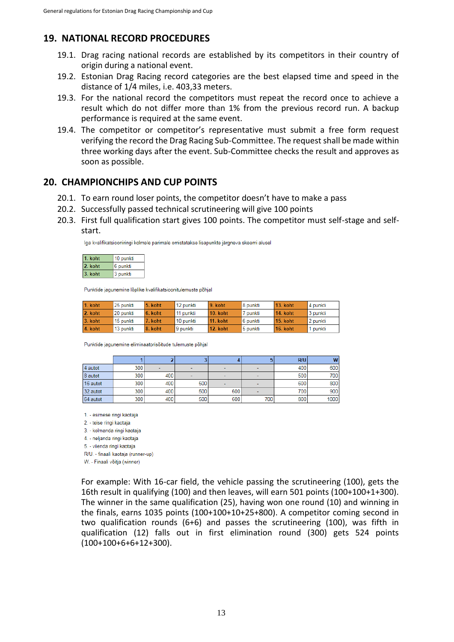## **19. NATIONAL RECORD PROCEDURES**

- 19.1. Drag racing national records are established by its competitors in their country of origin during a national event.
- 19.2. Estonian Drag Racing record categories are the best elapsed time and speed in the distance of 1/4 miles, i.e. 403,33 meters.
- 19.3. For the national record the competitors must repeat the record once to achieve a result which do not differ more than 1% from the previous record run. A backup performance is required at the same event.
- 19.4. The competitor or competitor's representative must submit a free form request verifying the record the Drag Racing Sub-Committee. The request shall be made within three working days after the event. Sub-Committee checks the result and approves as soon as possible.

### **20. CHAMPIONCHIPS AND CUP POINTS**

- 20.1. To earn round loser points, the competitor doesn't have to make a pass
- 20.2. Successfully passed technical scrutineering will give 100 points
- 20.3. First full qualification start gives 100 points. The competitor must self-stage and selfstart.

Iga kvalifikatsiooniringi kolmele parimale omistatakse lisapunkte järgneva skeemi alusel

| l. koht | 10 punkti |  |  |
|---------|-----------|--|--|
| 2. koht | 6 punkti  |  |  |
| 3. koht | 3 punkti  |  |  |

Punktide jagunemine lõplike kvalifikatsioonitulemuste põhjal

| 1. koht | 25 punkti | $5.$ koht | 12 punkti | 9. koht         | 8 punkti | 13. koht | 4 punkti |
|---------|-----------|-----------|-----------|-----------------|----------|----------|----------|
| 2. koht | 20 punkti | 6. koht   | 11 punkti | 10. koht        | 7 punkti | 14. koht | 3 punkti |
| 3. koht | 15 punkti | 7. koht   | 10 punkti | <b>11. koht</b> | 6 punkti | 15. koht | 2 punkti |
| 4. koht | 13 punkti | 8. koht   | 9 punkti  | <b>12. koht</b> | 5 punkti | 16. koht | punkti   |

Punktide jagunemine eliminaatorisõitude tulemuste põhjal

|          |     |                          |        |                          |                          | R/U | w    |
|----------|-----|--------------------------|--------|--------------------------|--------------------------|-----|------|
| 4 autot  | 300 | $\overline{\phantom{a}}$ | $\sim$ | $\overline{\phantom{a}}$ | $\sim$                   | 400 | 600  |
| 8 autot  | 300 | 400                      |        | $\overline{\phantom{a}}$ | $\blacksquare$           | 500 | 700  |
| 16 autot | 300 | 400                      | 500    | $\overline{\phantom{a}}$ | $\overline{\phantom{a}}$ | 600 | 800  |
| 32 autot | 300 | 400                      | 500    | 600                      | $\overline{\phantom{a}}$ | 700 | 900  |
| 64 autot | 300 | 400                      | 500    | 600                      | 700                      | 800 | 1000 |

1. - esimese ringi kaotaja

2. - teise ringi kaotaja

3. - kolmanda ringi kaotaja

4. - neljanda ringi kaotaja

5. - viienda ringi kaotaja

R/U. - finaali kaotaja (runner-up)

W. - Finaali võitja (winner)

For example: With 16-car field, the vehicle passing the scrutineering (100), gets the 16th result in qualifying (100) and then leaves, will earn 501 points (100+100+1+300). The winner in the same qualification (25), having won one round (10) and winning in the finals, earns 1035 points (100+100+10+25+800). A competitor coming second in two qualification rounds (6+6) and passes the scrutineering (100), was fifth in qualification (12) falls out in first elimination round (300) gets 524 points (100+100+6+6+12+300).